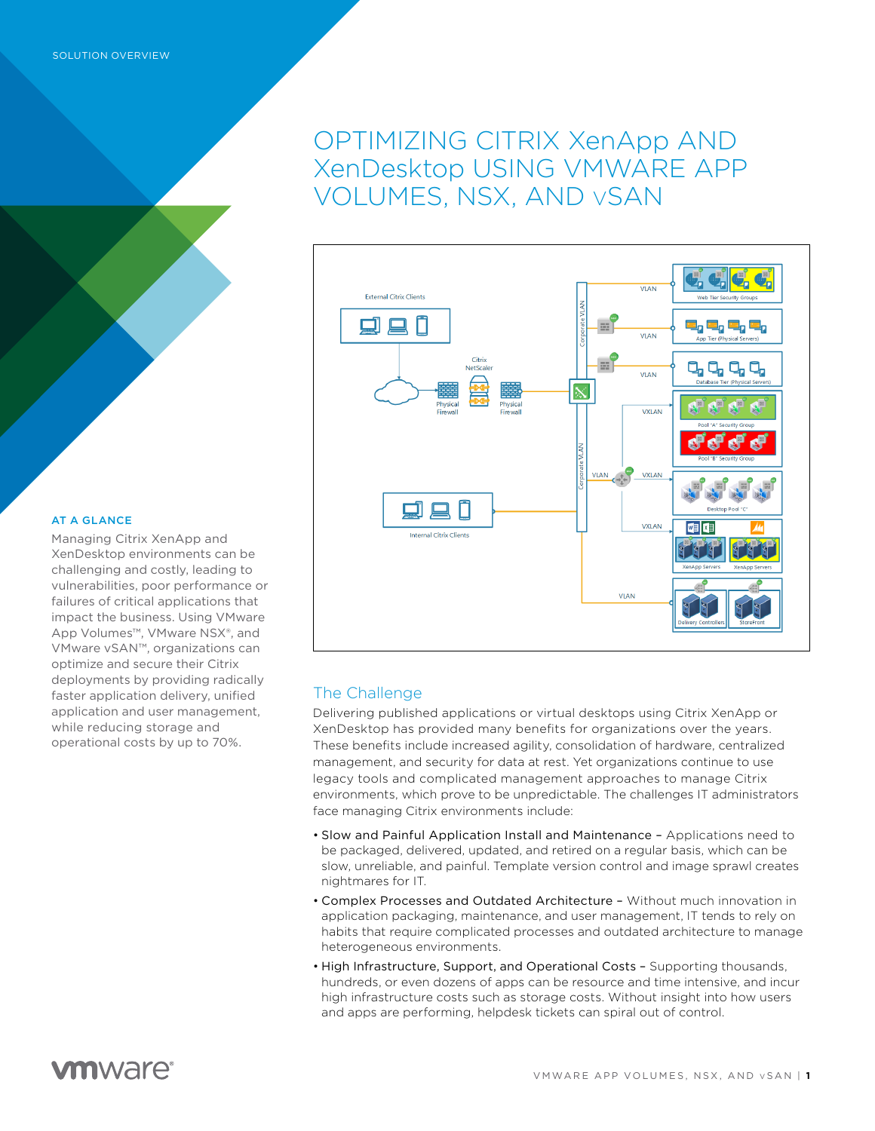# OPTIMIZING CITRIX XenApp AND XenDesktop USING VMWARE APP VOLUMES, NSX, AND vSAN



### AT A GLANCE

Managing Citrix XenApp and XenDesktop environments can be challenging and costly, leading to vulnerabilities, poor performance or failures of critical applications that impact the business. Using VMware App Volumes™, VMware NSX®, and VMware vSAN™, organizations can optimize and secure their Citrix deployments by providing radically faster application delivery, unified application and user management, while reducing storage and operational costs by up to 70%.

## The Challenge

Delivering published applications or virtual desktops using Citrix XenApp or XenDesktop has provided many benefits for organizations over the years. These benefits include increased agility, consolidation of hardware, centralized management, and security for data at rest. Yet organizations continue to use legacy tools and complicated management approaches to manage Citrix environments, which prove to be unpredictable. The challenges IT administrators face managing Citrix environments include:

- Slow and Painful Application Install and Maintenance Applications need to be packaged, delivered, updated, and retired on a regular basis, which can be slow, unreliable, and painful. Template version control and image sprawl creates nightmares for IT.
- Complex Processes and Outdated Architecture Without much innovation in application packaging, maintenance, and user management, IT tends to rely on habits that require complicated processes and outdated architecture to manage heterogeneous environments.
- High Infrastructure, Support, and Operational Costs Supporting thousands, hundreds, or even dozens of apps can be resource and time intensive, and incur high infrastructure costs such as storage costs. Without insight into how users and apps are performing, helpdesk tickets can spiral out of control.

## **vm**ware<sup>®</sup>